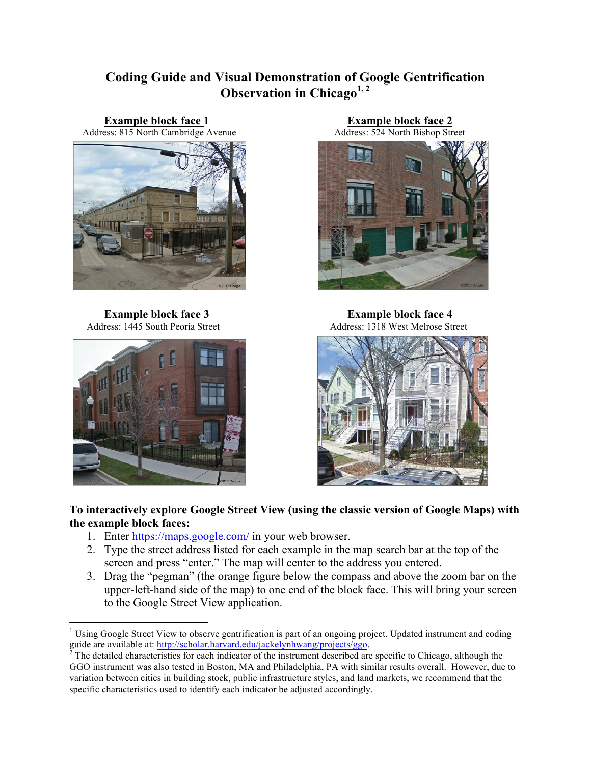# **Coding Guide and Visual Demonstration of Google Gentrification Observation in Chicago1, 2**

Address: 815 North Cambridge Avenue





**Example block face 1**<br> **Example block face 2**<br> **Example block face 2**<br> **Address: 524 North Bishop Street** 



**Example block face 3 Example block face 4** Address: 1445 South Peoria Street Address: 1318 West Melrose Street



**To interactively explore Google Street View (using the classic version of Google Maps) with the example block faces:** 

- 1. Enter https://maps.google.com/ in your web browser.
- 2. Type the street address listed for each example in the map search bar at the top of the screen and press "enter." The map will center to the address you entered.
- 3. Drag the "pegman" (the orange figure below the compass and above the zoom bar on the upper-left-hand side of the map) to one end of the block face. This will bring your screen to the Google Street View application.

<sup>&</sup>lt;sup>1</sup> Using Google Street View to observe gentrification is part of an ongoing project. Updated instrument and coding guide are available at:  $\frac{http://scholar.harvard.edu/jackelynhwang/projects/ggo}$ .

 $^2$  The detailed characteristics for each indicator of the instrument described are specific to Chicago, although the GGO instrument was also tested in Boston, MA and Philadelphia, PA with similar results overall. However, due to variation between cities in building stock, public infrastructure styles, and land markets, we recommend that the specific characteristics used to identify each indicator be adjusted accordingly.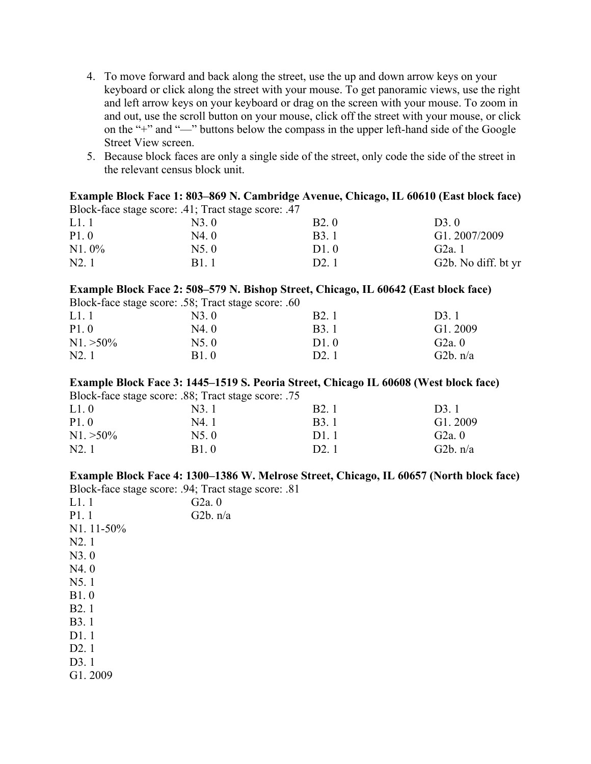- 4. To move forward and back along the street, use the up and down arrow keys on your keyboard or click along the street with your mouse. To get panoramic views, use the right and left arrow keys on your keyboard or drag on the screen with your mouse. To zoom in and out, use the scroll button on your mouse, click off the street with your mouse, or click on the "+" and "—" buttons below the compass in the upper left-hand side of the Google Street View screen.
- 5. Because block faces are only a single side of the street, only code the side of the street in the relevant census block unit.

|       |                                                     |                   | Example Block Face 1: 803–869 N. Cambridge Avenue, Chicago, IL 60610 (East block face) |
|-------|-----------------------------------------------------|-------------------|----------------------------------------------------------------------------------------|
|       | Block-face stage score: .41; Tract stage score: .47 |                   |                                                                                        |
| L1.1  | N3 0                                                | B <sub>2</sub> .0 | $D3 \theta$                                                                            |
| P1.0  | N4.0                                                | <b>B</b> 3.1      | G1.2007/2009                                                                           |
| N1.0% | N5.0                                                | $D1 \theta$       | G2a <sub>1</sub>                                                                       |
| N2.1  | B1 1                                                | D <sub>2</sub> 1  | G2b. No diff. bt yr                                                                    |

#### **Example Block Face 2: 508–579 N. Bishop Street, Chicago, IL 60642 (East block face)**

Block-face stage score: .58; Tract stage score: .60

| L1.1         | N3.0  | <b>B2.</b> 1      | D <sub>3</sub> .1 |
|--------------|-------|-------------------|-------------------|
| P1.0         | N4. 0 | B <sub>3</sub> .1 | G1.2009           |
| $N1. > 50\%$ | N5.0  | D1.0              | G2a.0             |
| N2.1         | B1.0  | D <sub>2</sub> .1 | G2b. $n/a$        |
|              |       |                   |                   |

## **Example Block Face 3: 1445–1519 S. Peoria Street, Chicago IL 60608 (West block face)**

Block-face stage score: .88; Tract stage score: .75

| N3.1         | B <sub>2</sub> .1 | D <sub>3</sub> .1 |
|--------------|-------------------|-------------------|
| N4.1         | B <sub>3</sub> .1 | G1.2009           |
| N5.0         | D1.1              | G2a.0             |
| <b>B</b> 1.0 | D <sub>2</sub> .1 | G2b. $n/a$        |
|              |                   |                   |

# **Example Block Face 4: 1300–1386 W. Melrose Street, Chicago, IL 60657 (North block face)**

Block-face stage score: .94; Tract stage score: .81  $\theta$ 

 $n/a$ 

| L1.1              | G2a. |
|-------------------|------|
| P1.1              | G2b. |
| $N1.11 - 50\%$    |      |
| N2.1              |      |
| N3.0              |      |
| N4.0              |      |
| N5.1              |      |
| B1.0              |      |
| B2.1              |      |
| <b>B</b> 3.1      |      |
| D1.1              |      |
| D <sub>2</sub> .1 |      |
| D3.1              |      |
| G1.2009           |      |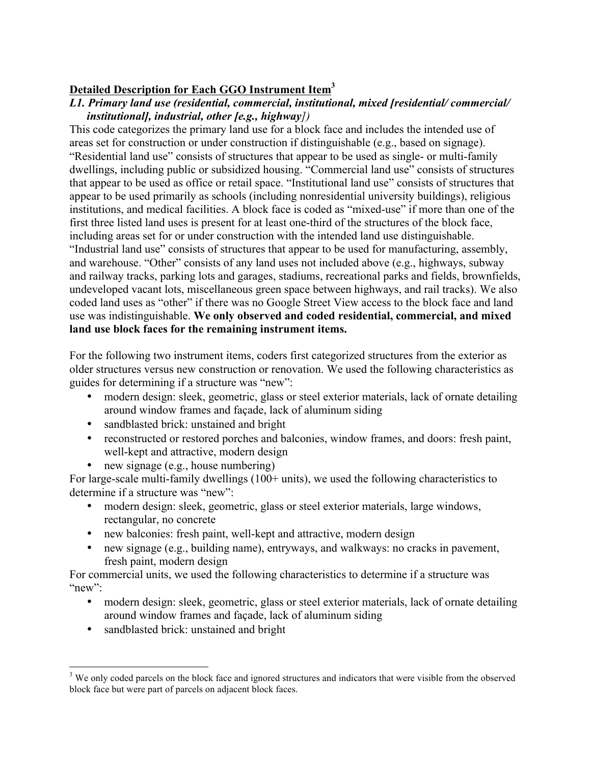# **Detailed Description for Each GGO Instrument Item3**

## *L1. Primary land use (residential, commercial, institutional, mixed [residential/ commercial/ institutional], industrial, other [e.g., highway])*

This code categorizes the primary land use for a block face and includes the intended use of areas set for construction or under construction if distinguishable (e.g., based on signage). "Residential land use" consists of structures that appear to be used as single- or multi-family dwellings, including public or subsidized housing. "Commercial land use" consists of structures that appear to be used as office or retail space. "Institutional land use" consists of structures that appear to be used primarily as schools (including nonresidential university buildings), religious institutions, and medical facilities. A block face is coded as "mixed-use" if more than one of the first three listed land uses is present for at least one-third of the structures of the block face, including areas set for or under construction with the intended land use distinguishable. "Industrial land use" consists of structures that appear to be used for manufacturing, assembly, and warehouse. "Other" consists of any land uses not included above (e.g., highways, subway and railway tracks, parking lots and garages, stadiums, recreational parks and fields, brownfields, undeveloped vacant lots, miscellaneous green space between highways, and rail tracks). We also coded land uses as "other" if there was no Google Street View access to the block face and land use was indistinguishable. **We only observed and coded residential, commercial, and mixed land use block faces for the remaining instrument items.**

For the following two instrument items, coders first categorized structures from the exterior as older structures versus new construction or renovation. We used the following characteristics as guides for determining if a structure was "new":

- modern design: sleek, geometric, glass or steel exterior materials, lack of ornate detailing around window frames and façade, lack of aluminum siding
- sandblasted brick: unstained and bright
- reconstructed or restored porches and balconies, window frames, and doors: fresh paint, well-kept and attractive, modern design
- new signage (e.g., house numbering)

For large-scale multi-family dwellings (100+ units), we used the following characteristics to determine if a structure was "new":

- modern design: sleek, geometric, glass or steel exterior materials, large windows, rectangular, no concrete
- new balconies: fresh paint, well-kept and attractive, modern design
- new signage (e.g., building name), entryways, and walkways: no cracks in pavement, fresh paint, modern design

For commercial units, we used the following characteristics to determine if a structure was " $new"$ 

- modern design: sleek, geometric, glass or steel exterior materials, lack of ornate detailing around window frames and façade, lack of aluminum siding
- sandblasted brick: unstained and bright

<sup>&</sup>lt;sup>3</sup> We only coded parcels on the block face and ignored structures and indicators that were visible from the observed block face but were part of parcels on adjacent block faces.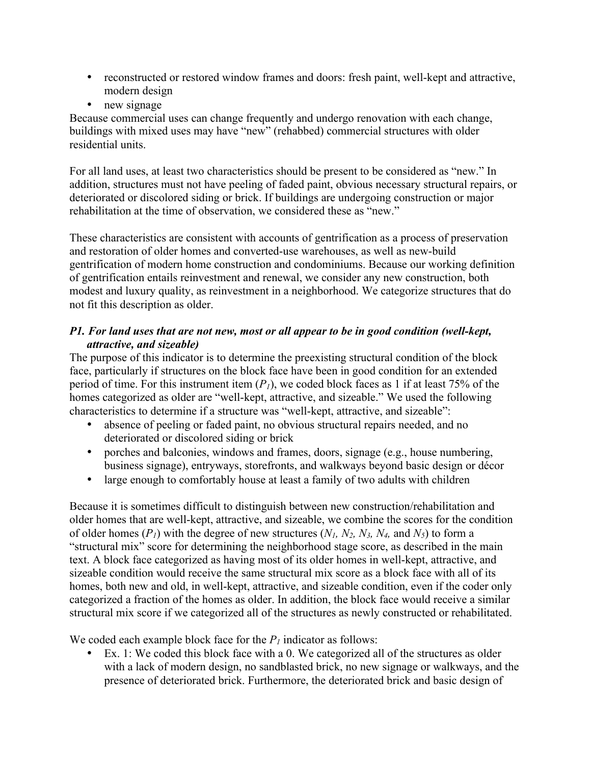- reconstructed or restored window frames and doors: fresh paint, well-kept and attractive, modern design
- new signage

Because commercial uses can change frequently and undergo renovation with each change, buildings with mixed uses may have "new" (rehabbed) commercial structures with older residential units.

For all land uses, at least two characteristics should be present to be considered as "new." In addition, structures must not have peeling of faded paint, obvious necessary structural repairs, or deteriorated or discolored siding or brick. If buildings are undergoing construction or major rehabilitation at the time of observation, we considered these as "new."

These characteristics are consistent with accounts of gentrification as a process of preservation and restoration of older homes and converted-use warehouses, as well as new-build gentrification of modern home construction and condominiums. Because our working definition of gentrification entails reinvestment and renewal, we consider any new construction, both modest and luxury quality, as reinvestment in a neighborhood. We categorize structures that do not fit this description as older.

# *P1. For land uses that are not new, most or all appear to be in good condition (well-kept, attractive, and sizeable)*

The purpose of this indicator is to determine the preexisting structural condition of the block face, particularly if structures on the block face have been in good condition for an extended period of time. For this instrument item  $(P<sub>1</sub>)$ , we coded block faces as 1 if at least 75% of the homes categorized as older are "well-kept, attractive, and sizeable." We used the following characteristics to determine if a structure was "well-kept, attractive, and sizeable":

- absence of peeling or faded paint, no obvious structural repairs needed, and no deteriorated or discolored siding or brick
- porches and balconies, windows and frames, doors, signage (e.g., house numbering, business signage), entryways, storefronts, and walkways beyond basic design or décor
- large enough to comfortably house at least a family of two adults with children

Because it is sometimes difficult to distinguish between new construction/rehabilitation and older homes that are well-kept, attractive, and sizeable, we combine the scores for the condition of older homes  $(P_1)$  with the degree of new structures  $(N_1, N_2, N_3, N_4, M_5)$  to form a "structural mix" score for determining the neighborhood stage score, as described in the main text. A block face categorized as having most of its older homes in well-kept, attractive, and sizeable condition would receive the same structural mix score as a block face with all of its homes, both new and old, in well-kept, attractive, and sizeable condition, even if the coder only categorized a fraction of the homes as older. In addition, the block face would receive a similar structural mix score if we categorized all of the structures as newly constructed or rehabilitated.

We coded each example block face for the  $P<sub>1</sub>$  indicator as follows:

• Ex. 1: We coded this block face with a 0. We categorized all of the structures as older with a lack of modern design, no sandblasted brick, no new signage or walkways, and the presence of deteriorated brick. Furthermore, the deteriorated brick and basic design of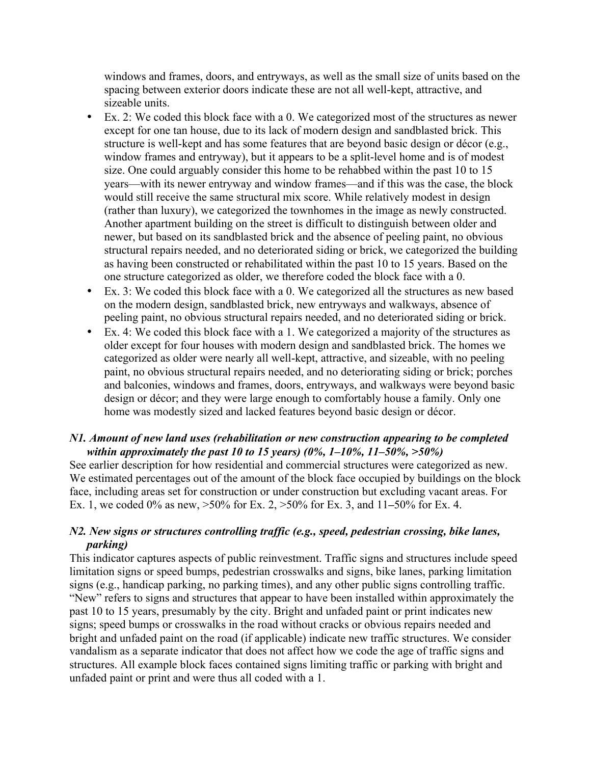windows and frames, doors, and entryways, as well as the small size of units based on the spacing between exterior doors indicate these are not all well-kept, attractive, and sizeable units.

- Ex. 2: We coded this block face with a 0. We categorized most of the structures as newer except for one tan house, due to its lack of modern design and sandblasted brick. This structure is well-kept and has some features that are beyond basic design or décor (e.g., window frames and entryway), but it appears to be a split-level home and is of modest size. One could arguably consider this home to be rehabbed within the past 10 to 15 years—with its newer entryway and window frames—and if this was the case, the block would still receive the same structural mix score. While relatively modest in design (rather than luxury), we categorized the townhomes in the image as newly constructed. Another apartment building on the street is difficult to distinguish between older and newer, but based on its sandblasted brick and the absence of peeling paint, no obvious structural repairs needed, and no deteriorated siding or brick, we categorized the building as having been constructed or rehabilitated within the past 10 to 15 years. Based on the one structure categorized as older, we therefore coded the block face with a 0.
- Ex. 3: We coded this block face with a 0. We categorized all the structures as new based on the modern design, sandblasted brick, new entryways and walkways, absence of peeling paint, no obvious structural repairs needed, and no deteriorated siding or brick.
- Ex. 4: We coded this block face with a 1. We categorized a majority of the structures as older except for four houses with modern design and sandblasted brick. The homes we categorized as older were nearly all well-kept, attractive, and sizeable, with no peeling paint, no obvious structural repairs needed, and no deteriorating siding or brick; porches and balconies, windows and frames, doors, entryways, and walkways were beyond basic design or décor; and they were large enough to comfortably house a family. Only one home was modestly sized and lacked features beyond basic design or décor.

### *N1. Amount of new land uses (rehabilitation or new construction appearing to be completed within approximately the past 10 to 15 years) (0%, 1–10%, 11–50%, >50%)*

See earlier description for how residential and commercial structures were categorized as new. We estimated percentages out of the amount of the block face occupied by buildings on the block face, including areas set for construction or under construction but excluding vacant areas. For Ex. 1, we coded 0% as new, >50% for Ex. 2, >50% for Ex. 3, and 11*–*50% for Ex. 4.

## *N2. New signs or structures controlling traffic (e.g., speed, pedestrian crossing, bike lanes, parking)*

This indicator captures aspects of public reinvestment. Traffic signs and structures include speed limitation signs or speed bumps, pedestrian crosswalks and signs, bike lanes, parking limitation signs (e.g., handicap parking, no parking times), and any other public signs controlling traffic. "New" refers to signs and structures that appear to have been installed within approximately the past 10 to 15 years, presumably by the city. Bright and unfaded paint or print indicates new signs; speed bumps or crosswalks in the road without cracks or obvious repairs needed and bright and unfaded paint on the road (if applicable) indicate new traffic structures. We consider vandalism as a separate indicator that does not affect how we code the age of traffic signs and structures. All example block faces contained signs limiting traffic or parking with bright and unfaded paint or print and were thus all coded with a 1.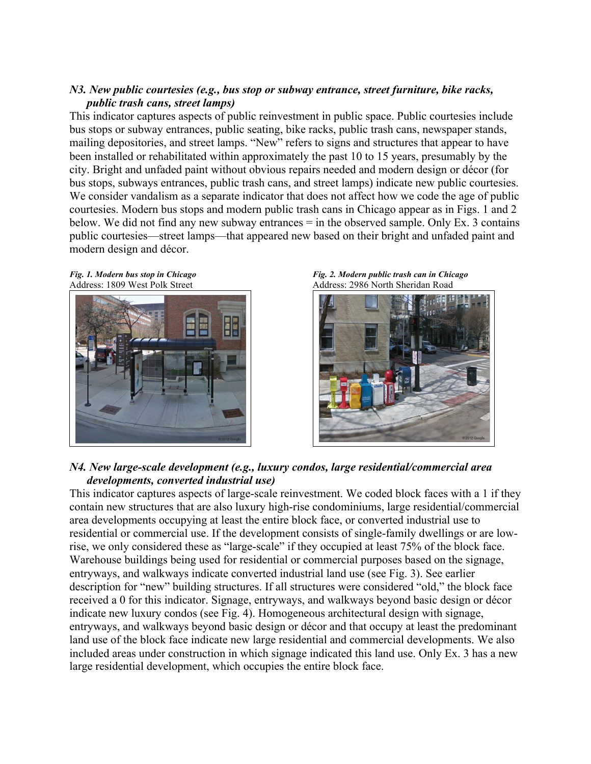## *N3. New public courtesies (e.g., bus stop or subway entrance, street furniture, bike racks, public trash cans, street lamps)*

This indicator captures aspects of public reinvestment in public space. Public courtesies include bus stops or subway entrances, public seating, bike racks, public trash cans, newspaper stands, mailing depositories, and street lamps. "New" refers to signs and structures that appear to have been installed or rehabilitated within approximately the past 10 to 15 years, presumably by the city. Bright and unfaded paint without obvious repairs needed and modern design or décor (for bus stops, subways entrances, public trash cans, and street lamps) indicate new public courtesies. We consider vandalism as a separate indicator that does not affect how we code the age of public courtesies. Modern bus stops and modern public trash cans in Chicago appear as in Figs. 1 and 2 below. We did not find any new subway entrances = in the observed sample. Only Ex. 3 contains public courtesies—street lamps—that appeared new based on their bright and unfaded paint and modern design and décor.









#### *N4. New large-scale development (e.g., luxury condos, large residential/commercial area developments, converted industrial use)*

This indicator captures aspects of large-scale reinvestment. We coded block faces with a 1 if they contain new structures that are also luxury high-rise condominiums, large residential/commercial area developments occupying at least the entire block face, or converted industrial use to residential or commercial use. If the development consists of single-family dwellings or are lowrise, we only considered these as "large-scale" if they occupied at least 75% of the block face. Warehouse buildings being used for residential or commercial purposes based on the signage, entryways, and walkways indicate converted industrial land use (see Fig. 3). See earlier description for "new" building structures. If all structures were considered "old," the block face received a 0 for this indicator. Signage, entryways, and walkways beyond basic design or décor indicate new luxury condos (see Fig. 4). Homogeneous architectural design with signage, entryways, and walkways beyond basic design or décor and that occupy at least the predominant land use of the block face indicate new large residential and commercial developments. We also included areas under construction in which signage indicated this land use. Only Ex. 3 has a new large residential development, which occupies the entire block face.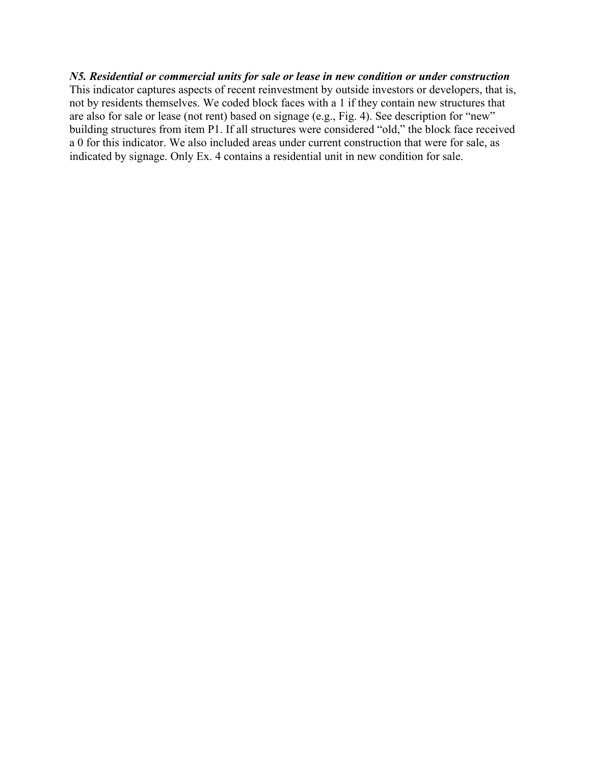#### *N5. Residential or commercial units for sale or lease in new condition or under construction*

This indicator captures aspects of recent reinvestment by outside investors or developers, that is, not by residents themselves. We coded block faces with a 1 if they contain new structures that are also for sale or lease (not rent) based on signage (e.g., Fig. 4). See description for "new" building structures from item P1. If all structures were considered "old," the block face received a 0 for this indicator. We also included areas under current construction that were for sale, as indicated by signage. Only Ex. 4 contains a residential unit in new condition for sale.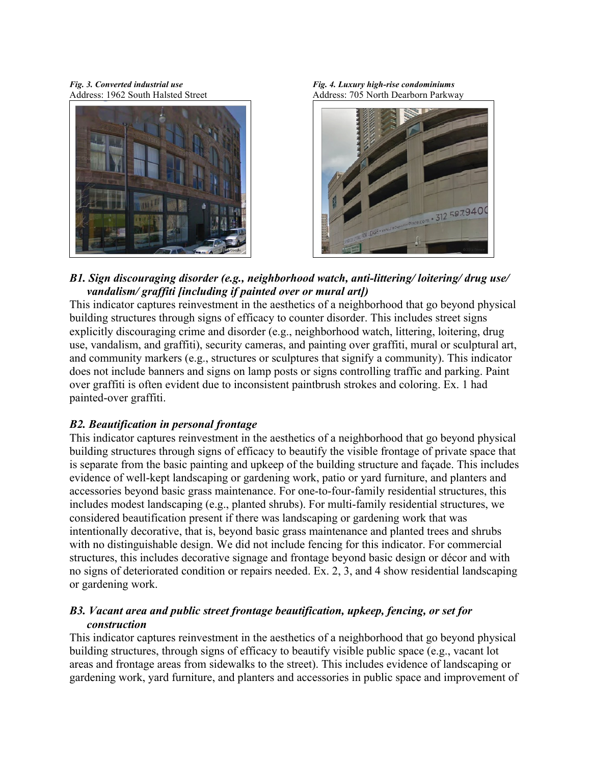

*Fig. 3. Converted industrial use Fig. 4. Luxury high-rise condominiums* Address: 1962 South Halsted Street Address: 705 North Dearborn Parkway



### *B1. Sign discouraging disorder (e.g., neighborhood watch, anti-littering/ loitering/ drug use/ vandalism/ graffiti [including if painted over or mural art])*

This indicator captures reinvestment in the aesthetics of a neighborhood that go beyond physical building structures through signs of efficacy to counter disorder. This includes street signs explicitly discouraging crime and disorder (e.g., neighborhood watch, littering, loitering, drug use, vandalism, and graffiti), security cameras, and painting over graffiti, mural or sculptural art, and community markers (e.g., structures or sculptures that signify a community). This indicator does not include banners and signs on lamp posts or signs controlling traffic and parking. Paint over graffiti is often evident due to inconsistent paintbrush strokes and coloring. Ex. 1 had painted-over graffiti.

## *B2. Beautification in personal frontage*

This indicator captures reinvestment in the aesthetics of a neighborhood that go beyond physical building structures through signs of efficacy to beautify the visible frontage of private space that is separate from the basic painting and upkeep of the building structure and façade. This includes evidence of well-kept landscaping or gardening work, patio or yard furniture, and planters and accessories beyond basic grass maintenance. For one-to-four-family residential structures, this includes modest landscaping (e.g., planted shrubs). For multi-family residential structures, we considered beautification present if there was landscaping or gardening work that was intentionally decorative, that is, beyond basic grass maintenance and planted trees and shrubs with no distinguishable design. We did not include fencing for this indicator. For commercial structures, this includes decorative signage and frontage beyond basic design or décor and with no signs of deteriorated condition or repairs needed. Ex. 2, 3, and 4 show residential landscaping or gardening work.

## *B3. Vacant area and public street frontage beautification, upkeep, fencing, or set for construction*

This indicator captures reinvestment in the aesthetics of a neighborhood that go beyond physical building structures, through signs of efficacy to beautify visible public space (e.g., vacant lot areas and frontage areas from sidewalks to the street). This includes evidence of landscaping or gardening work, yard furniture, and planters and accessories in public space and improvement of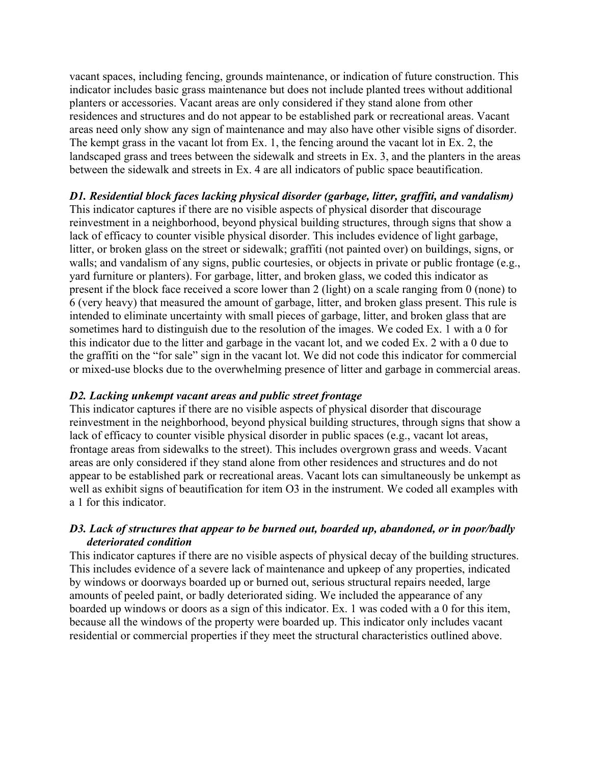vacant spaces, including fencing, grounds maintenance, or indication of future construction. This indicator includes basic grass maintenance but does not include planted trees without additional planters or accessories. Vacant areas are only considered if they stand alone from other residences and structures and do not appear to be established park or recreational areas. Vacant areas need only show any sign of maintenance and may also have other visible signs of disorder. The kempt grass in the vacant lot from Ex. 1, the fencing around the vacant lot in Ex. 2, the landscaped grass and trees between the sidewalk and streets in Ex. 3, and the planters in the areas between the sidewalk and streets in Ex. 4 are all indicators of public space beautification.

## *D1. Residential block faces lacking physical disorder (garbage, litter, graffiti, and vandalism)*

This indicator captures if there are no visible aspects of physical disorder that discourage reinvestment in a neighborhood, beyond physical building structures, through signs that show a lack of efficacy to counter visible physical disorder. This includes evidence of light garbage, litter, or broken glass on the street or sidewalk; graffiti (not painted over) on buildings, signs, or walls; and vandalism of any signs, public courtesies, or objects in private or public frontage (e.g., yard furniture or planters). For garbage, litter, and broken glass, we coded this indicator as present if the block face received a score lower than 2 (light) on a scale ranging from 0 (none) to 6 (very heavy) that measured the amount of garbage, litter, and broken glass present. This rule is intended to eliminate uncertainty with small pieces of garbage, litter, and broken glass that are sometimes hard to distinguish due to the resolution of the images. We coded Ex. 1 with a 0 for this indicator due to the litter and garbage in the vacant lot, and we coded Ex. 2 with a 0 due to the graffiti on the "for sale" sign in the vacant lot. We did not code this indicator for commercial or mixed-use blocks due to the overwhelming presence of litter and garbage in commercial areas.

## *D2. Lacking unkempt vacant areas and public street frontage*

This indicator captures if there are no visible aspects of physical disorder that discourage reinvestment in the neighborhood, beyond physical building structures, through signs that show a lack of efficacy to counter visible physical disorder in public spaces (e.g., vacant lot areas, frontage areas from sidewalks to the street). This includes overgrown grass and weeds. Vacant areas are only considered if they stand alone from other residences and structures and do not appear to be established park or recreational areas. Vacant lots can simultaneously be unkempt as well as exhibit signs of beautification for item O3 in the instrument. We coded all examples with a 1 for this indicator.

# *D3. Lack of structures that appear to be burned out, boarded up, abandoned, or in poor/badly deteriorated condition*

This indicator captures if there are no visible aspects of physical decay of the building structures. This includes evidence of a severe lack of maintenance and upkeep of any properties, indicated by windows or doorways boarded up or burned out, serious structural repairs needed, large amounts of peeled paint, or badly deteriorated siding. We included the appearance of any boarded up windows or doors as a sign of this indicator. Ex. 1 was coded with a 0 for this item, because all the windows of the property were boarded up. This indicator only includes vacant residential or commercial properties if they meet the structural characteristics outlined above.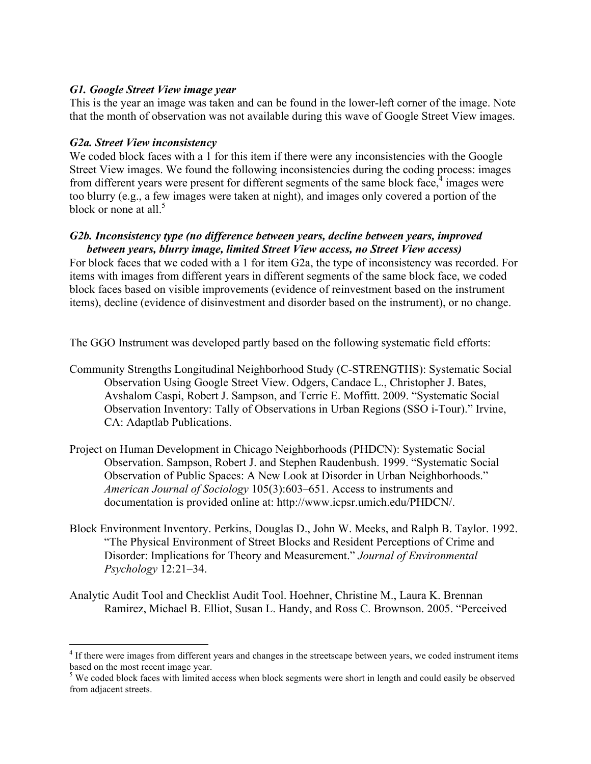#### *G1. Google Street View image year*

This is the year an image was taken and can be found in the lower-left corner of the image. Note that the month of observation was not available during this wave of Google Street View images.

### *G2a. Street View inconsistency*

We coded block faces with a 1 for this item if there were any inconsistencies with the Google Street View images. We found the following inconsistencies during the coding process: images from different years were present for different segments of the same block face.<sup>4</sup> images were too blurry (e.g., a few images were taken at night), and images only covered a portion of the block or none at all.<sup>5</sup>

#### *G2b. Inconsistency type (no difference between years, decline between years, improved between years, blurry image, limited Street View access, no Street View access)*

For block faces that we coded with a 1 for item G2a, the type of inconsistency was recorded. For items with images from different years in different segments of the same block face, we coded block faces based on visible improvements (evidence of reinvestment based on the instrument items), decline (evidence of disinvestment and disorder based on the instrument), or no change.

The GGO Instrument was developed partly based on the following systematic field efforts:

- Community Strengths Longitudinal Neighborhood Study (C-STRENGTHS): Systematic Social Observation Using Google Street View. Odgers, Candace L., Christopher J. Bates, Avshalom Caspi, Robert J. Sampson, and Terrie E. Moffitt. 2009. "Systematic Social Observation Inventory: Tally of Observations in Urban Regions (SSO i-Tour)." Irvine, CA: Adaptlab Publications.
- Project on Human Development in Chicago Neighborhoods (PHDCN): Systematic Social Observation. Sampson, Robert J. and Stephen Raudenbush. 1999. "Systematic Social Observation of Public Spaces: A New Look at Disorder in Urban Neighborhoods." *American Journal of Sociology* 105(3):603–651. Access to instruments and documentation is provided online at: http://www.icpsr.umich.edu/PHDCN/.
- Block Environment Inventory. Perkins, Douglas D., John W. Meeks, and Ralph B. Taylor. 1992. "The Physical Environment of Street Blocks and Resident Perceptions of Crime and Disorder: Implications for Theory and Measurement." *Journal of Environmental Psychology* 12:21–34.
- Analytic Audit Tool and Checklist Audit Tool. Hoehner, Christine M., Laura K. Brennan Ramirez, Michael B. Elliot, Susan L. Handy, and Ross C. Brownson. 2005. "Perceived

<sup>&</sup>lt;sup>4</sup> If there were images from different years and changes in the streetscape between years, we coded instrument items based on the most recent image year.

<sup>&</sup>lt;sup>5</sup> We coded block faces with limited access when block segments were short in length and could easily be observed from adjacent streets.